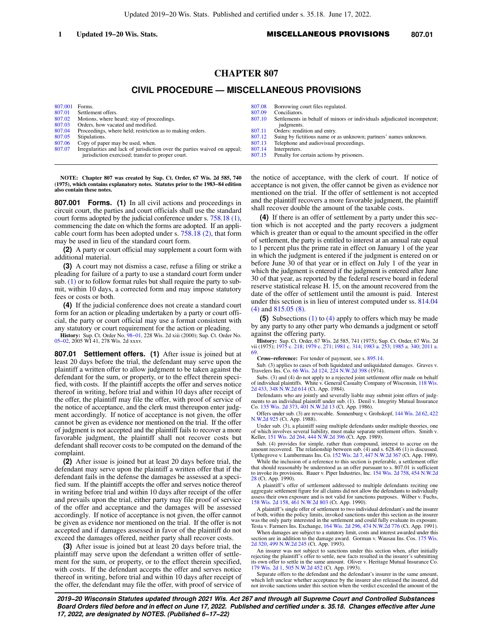# **CHAPTER 807**

## **CIVIL PROCEDURE — MISCELLANEOUS PROVISIONS**

| 807.001 | Forms.                                                                     | 807 |
|---------|----------------------------------------------------------------------------|-----|
| 807.01  | Settlement offers.                                                         | 807 |
| 807.02  | Motions, where heard; stay of proceedings.                                 | 807 |
| 807.03  | Orders, how vacated and modified.                                          |     |
| 807.04  | Proceedings, where held; restriction as to making orders.                  | 807 |
| 807.05  | Stipulations.                                                              | 807 |
| 807.06  | Copy of paper may be used, when.                                           | 807 |
| 807.07  | Irregularities and lack of jurisdiction over the parties waived on appeal; | 807 |
|         | jurisdiction exercised; transfer to proper court.                          | 807 |
|         |                                                                            |     |

- [807.08](https://docs.legis.wisconsin.gov/document/statutes/807.08) Borrowing court files regulated.<br>09 Conciliators.
- .09 Conciliators.<br>10 Settlements Settlements in behalf of minors or individuals adjudicated incompetent;
- judgments
- $\frac{11}{12}$  Orders: rendition and entry. Suing by fictitious name or as unknown; partners' names unknown.
- 
- $\frac{8}{113}$  Telephone and audiovisual proceedings. 14 Interpreters.<br>15 Penalty for
- Penalty for certain actions by prisoners.

**NOTE: Chapter 807 was created by Sup. Ct. Order, 67 Wis. 2d 585, 740 (1975), which contains explanatory notes. Statutes prior to the 1983−84 edition also contain these notes.**

**807.001 Forms. (1)** In all civil actions and proceedings in circuit court, the parties and court officials shall use the standard court forms adopted by the judicial conference under s. [758.18 \(1\),](https://docs.legis.wisconsin.gov/document/statutes/758.18(1)) commencing the date on which the forms are adopted. If an applicable court form has been adopted under s. [758.18 \(2\)](https://docs.legis.wisconsin.gov/document/statutes/758.18(2)), that form may be used in lieu of the standard court form.

**(2)** A party or court official may supplement a court form with additional material.

**(3)** A court may not dismiss a case, refuse a filing or strike a pleading for failure of a party to use a standard court form under sub. [\(1\)](https://docs.legis.wisconsin.gov/document/statutes/807.001(1)) or to follow format rules but shall require the party to submit, within 10 days, a corrected form and may impose statutory fees or costs or both.

**(4)** If the judicial conference does not create a standard court form for an action or pleading undertaken by a party or court official, the party or court official may use a format consistent with any statutory or court requirement for the action or pleading.

**History:** Sup. Ct. Order No. 98–01, 228 Wis. 2d xiii (2000); Sup. Ct. Order No. 05–02, 2005 WI 41, 278 Wis. 2d xxxv.

**807.01 Settlement offers. (1)** After issue is joined but at least 20 days before the trial, the defendant may serve upon the plaintiff a written offer to allow judgment to be taken against the defendant for the sum, or property, or to the effect therein specified, with costs. If the plaintiff accepts the offer and serves notice thereof in writing, before trial and within 10 days after receipt of the offer, the plaintiff may file the offer, with proof of service of the notice of acceptance, and the clerk must thereupon enter judgment accordingly. If notice of acceptance is not given, the offer cannot be given as evidence nor mentioned on the trial. If the offer of judgment is not accepted and the plaintiff fails to recover a more favorable judgment, the plaintiff shall not recover costs but defendant shall recover costs to be computed on the demand of the complaint.

**(2)** After issue is joined but at least 20 days before trial, the defendant may serve upon the plaintiff a written offer that if the defendant fails in the defense the damages be assessed at a specified sum. If the plaintiff accepts the offer and serves notice thereof in writing before trial and within 10 days after receipt of the offer and prevails upon the trial, either party may file proof of service of the offer and acceptance and the damages will be assessed accordingly. If notice of acceptance is not given, the offer cannot be given as evidence nor mentioned on the trial. If the offer is not accepted and if damages assessed in favor of the plaintiff do not exceed the damages offered, neither party shall recover costs.

**(3)** After issue is joined but at least 20 days before trial, the plaintiff may serve upon the defendant a written offer of settlement for the sum, or property, or to the effect therein specified, with costs. If the defendant accepts the offer and serves notice thereof in writing, before trial and within 10 days after receipt of the offer, the defendant may file the offer, with proof of service of the notice of acceptance, with the clerk of court. If notice of acceptance is not given, the offer cannot be given as evidence nor mentioned on the trial. If the offer of settlement is not accepted and the plaintiff recovers a more favorable judgment, the plaintiff shall recover double the amount of the taxable costs.

**(4)** If there is an offer of settlement by a party under this section which is not accepted and the party recovers a judgment which is greater than or equal to the amount specified in the offer of settlement, the party is entitled to interest at an annual rate equal to 1 percent plus the prime rate in effect on January 1 of the year in which the judgment is entered if the judgment is entered on or before June 30 of that year or in effect on July 1 of the year in which the judgment is entered if the judgment is entered after June 30 of that year, as reported by the federal reserve board in federal reserve statistical release H. 15, on the amount recovered from the date of the offer of settlement until the amount is paid. Interest under this section is in lieu of interest computed under ss. [814.04](https://docs.legis.wisconsin.gov/document/statutes/814.04(4)) [\(4\)](https://docs.legis.wisconsin.gov/document/statutes/814.04(4)) and [815.05 \(8\).](https://docs.legis.wisconsin.gov/document/statutes/815.05(8))

**(5)** Subsections [\(1\)](https://docs.legis.wisconsin.gov/document/statutes/807.01(1)) to [\(4\)](https://docs.legis.wisconsin.gov/document/statutes/807.01(4)) apply to offers which may be made by any party to any other party who demands a judgment or setoff against the offering party.

**History:** Sup. Ct. Order, 67 Wis. 2d 585, 741 (1975); Sup. Ct. Order, 67 Wis. 2d vii (1975); [1975 c. 218;](https://docs.legis.wisconsin.gov/document/acts/1975/218) [1979 c. 271;](https://docs.legis.wisconsin.gov/document/acts/1979/271) [1981 c. 314](https://docs.legis.wisconsin.gov/document/acts/1981/314); [1983 a. 253](https://docs.legis.wisconsin.gov/document/acts/1983/253); [1985 a. 340](https://docs.legis.wisconsin.gov/document/acts/1985/340); [2011 a.](https://docs.legis.wisconsin.gov/document/acts/2011/69) [69](https://docs.legis.wisconsin.gov/document/acts/2011/69).

**Cross−reference:** For tender of payment, see s. [895.14.](https://docs.legis.wisconsin.gov/document/statutes/895.14)

Sub. (3) applies to cases of both liquidated and unliquidated damages. Graves v. Travelers Ins. Co. [66 Wis. 2d 124](https://docs.legis.wisconsin.gov/document/courts/66%20Wis.%202d%20124), [224 N.W.2d 398](https://docs.legis.wisconsin.gov/document/courts/224%20N.W.2d%20398) (1974).

Subs. (3) and (4) do not apply to a rejected joint settlement offer made on behalf of individual plaintiffs. White v. General Casualty Company of Wisconsin, [118 Wis.](https://docs.legis.wisconsin.gov/document/courts/118%20Wis.%202d%20433) [2d 433](https://docs.legis.wisconsin.gov/document/courts/118%20Wis.%202d%20433), [348 N.W.2d 614](https://docs.legis.wisconsin.gov/document/courts/348%20N.W.2d%20614) (Ct. App. 1984).

Defendants who are jointly and severally liable may submit joint offers of judg-ments to an individual plaintiff under sub. (1). Denil v. Integrity Mutual Insurance Co. [135 Wis. 2d 373,](https://docs.legis.wisconsin.gov/document/courts/135%20Wis.%202d%20373) [401 N.W.2d 13](https://docs.legis.wisconsin.gov/document/courts/401%20N.W.2d%2013) (Ct. App. 1986).

Offers under sub. (3) are revocable. Sonnenburg v. Grohskopf, [144 Wis. 2d 62,](https://docs.legis.wisconsin.gov/document/courts/144%20Wis.%202d%2062) [422](https://docs.legis.wisconsin.gov/document/courts/422%20N.W.2d%20925) [N.W.2d 925](https://docs.legis.wisconsin.gov/document/courts/422%20N.W.2d%20925) (Ct. App. 1988).

Under sub. (3), a plaintiff suing multiple defendants under multiple theories, one of which involves several liability, must make separate settlement offers. Smith v. Keller, [151 Wis. 2d 264,](https://docs.legis.wisconsin.gov/document/courts/151%20Wis.%202d%20264) [444 N.W.2d 396](https://docs.legis.wisconsin.gov/document/courts/444%20N.W.2d%20396) (Ct. App. 1989).

Sub. (4) provides for simple, rather than compound, interest to accrue on the amount recovered. The relationship between sub. (4) and s. 628.46 (1) is discussed. Upthegrove v. Lumbermans Ins. Co. [152 Wis. 2d 7](https://docs.legis.wisconsin.gov/document/courts/152%20Wis.%202d%207), [447 N.W.2d 367](https://docs.legis.wisconsin.gov/document/courts/447%20N.W.2d%20367) (Ct. App. 1989).

While the inclusion of a reference to this section is preferable, a settlement offer<br>that should reasonably be understood as an offer pursuant to s. 807.01 is sufficient<br>to invoke its provisions. Bauer v. Piper Industries, [28](https://docs.legis.wisconsin.gov/document/courts/454%20N.W.2d%2028) (Ct. App. 1990).

A plaintiff's offer of settlement addressed to multiple defendants reciting one aggregate settlement figure for all claims did not allow the defendants to individually assess their own exposure and is not valid for sanctions purposes. Wilber v. Fuchs, [158 Wis. 2d 158](https://docs.legis.wisconsin.gov/document/courts/158%20Wis.%202d%20158), [461 N.W.2d 803](https://docs.legis.wisconsin.gov/document/courts/461%20N.W.2d%20803) (Ct. App. 1990).

A plaintiff's single offer of settlement to two individual defendant's and the insurer of both, within the policy limits, invoked sanctions under this section as the insurer was the only party interested in the settlement and could fully evaluate its exposure. Testa v. Farmers Ins. Exchange, [164 Wis. 2d 296,](https://docs.legis.wisconsin.gov/document/courts/164%20Wis.%202d%20296) [474 N.W.2d 776](https://docs.legis.wisconsin.gov/document/courts/474%20N.W.2d%20776) (Ct. App. 1991).

When damages are subject to a statutory limit, costs and interest awarded under this section are in addition to the damage award. Gorman v. Wausau Ins. Cos. [175 Wis.](https://docs.legis.wisconsin.gov/document/courts/175%20Wis.%202d%20320) [2d 320](https://docs.legis.wisconsin.gov/document/courts/175%20Wis.%202d%20320), [499 N.W.2d 245](https://docs.legis.wisconsin.gov/document/courts/499%20N.W.2d%20245) (Ct. App. 1993).

An insurer was not subject to sanctions under this section when, after initially rejecting the plaintiff's offer to settle, new facts resulted in the insurer's submitting its own offer to settle in the same amount. Oliver v. Heritage Mutual Insurance Co. [179 Wis. 2d 1](https://docs.legis.wisconsin.gov/document/courts/179%20Wis.%202d%201), [505 N.W.2d 452](https://docs.legis.wisconsin.gov/document/courts/505%20N.W.2d%20452) (Ct. App. 1993).

Separate offers to the defendant and the defendant's insurer in the same amount, which left unclear whether acceptance by the insurer also released the insured, did not invoke sanctions under this section when the verdict exceeded the amount of the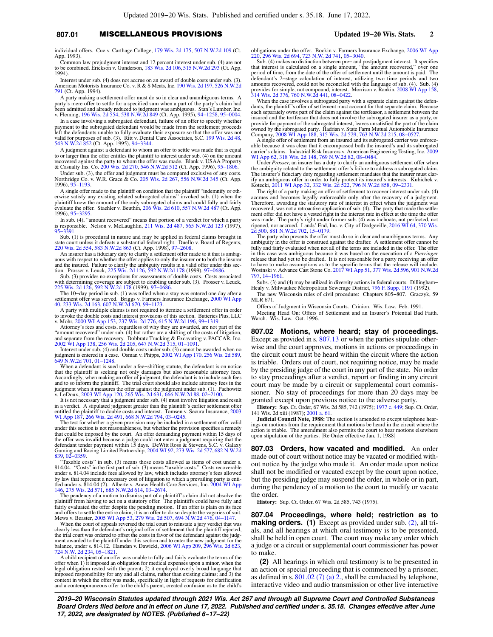## **807.01** MISCELLANEOUS PROVISIONS **Updated 19−20 Wis. Stats. 2**

individual offers. Cue v. Carthage College, [179 Wis. 2d 175,](https://docs.legis.wisconsin.gov/document/courts/179%20Wis.%202d%20175) [507 N.W.2d 109](https://docs.legis.wisconsin.gov/document/courts/507%20N.W.2d%20109) (Ct. App. 1993).

Common law prejudgment interest and 12 percent interest under sub. (4) are not to be combined. Erickson v. Gunderson, [183 Wis. 2d 106,](https://docs.legis.wisconsin.gov/document/courts/183%20Wis.%202d%20106) [515 N.W.2d 293](https://docs.legis.wisconsin.gov/document/courts/515%20N.W.2d%20293) (Ct. App. 1994).

Interest under sub. (4) does not accrue on an award of double costs under sub. (3). American Motorists Insurance Co. v. R & S Meats, Inc. [190 Wis. 2d 197,](https://docs.legis.wisconsin.gov/document/courts/190%20Wis.%202d%20197) [526 N.W.2d](https://docs.legis.wisconsin.gov/document/courts/526%20N.W.2d%20791) [791](https://docs.legis.wisconsin.gov/document/courts/526%20N.W.2d%20791) (Ct. App. 1994).

A party making a settlement offer must do so in clear and unambiguous terms. A party's mere offer to settle for a specified sum when a part of the party's claim had been admitted and already reduced to judgment was ambiguous. Stan's Lumber, Inc. v. Fleming, [196 Wis. 2d 554,](https://docs.legis.wisconsin.gov/document/courts/196%20Wis.%202d%20554) [538 N.W.2d 849](https://docs.legis.wisconsin.gov/document/courts/538%20N.W.2d%20849) (Ct. App. 1995), [94−1258](https://docs.legis.wisconsin.gov/document/wicourtofappeals/94-1258), [95−0004](https://docs.legis.wisconsin.gov/document/wicourtofappeals/95-0004).

In a case involving a subrogated defendant, failure of an offer to specify whether payment to the subrogated defendant would be made from the settlement proceeds left the defendants unable to fully evaluate their exposure so that the offer was not valid for purposes of sub. (3). Ritt v. Dental Care Associates, S.C. [199 Wis. 2d 48](https://docs.legis.wisconsin.gov/document/courts/199%20Wis.%202d%2048), [543 N.W.2d 852](https://docs.legis.wisconsin.gov/document/courts/543%20N.W.2d%20852) (Ct. App. 1995), [94−3344](https://docs.legis.wisconsin.gov/document/wicourtofappeals/94-3344).

A judgment against a defendant to whom an offer to settle was made that is equal to or larger than the offer entitles the plaintiff to interest under sub. (4) on the amount recovered against the party to whom the offer was made. Blank v. USAA Property & Casualty Ins. Co. [200 Wis. 2d 270](https://docs.legis.wisconsin.gov/document/courts/200%20Wis.%202d%20270), [546 N.W.2d 512](https://docs.legis.wisconsin.gov/document/courts/546%20N.W.2d%20512) (Ct. App. 1996), [95−1806.](https://docs.legis.wisconsin.gov/document/wicourtofappeals/95-1806)

Under sub. (3), the offer and judgment must be compared exclusive of any costs.<br>Northridge Co. v. W.R. Grace & Co. [205 Wis. 2d 267,](https://docs.legis.wisconsin.gov/document/courts/205%20Wis.%202d%20267) [556 N.W.2d 345](https://docs.legis.wisconsin.gov/document/courts/556%20N.W.2d%20345) (Ct. App.<br>1996), [95−1193.](https://docs.legis.wisconsin.gov/document/wicourtofappeals/95-1193)

A single offer made to the plaintiff on condition that the plaintiff "indemnify or otherwise satisfy any existing related subrogated claims" invoked sub. (1) when the plaintiff knew the amount of the only subrogated claims and could fully and fairly evaluate the offer. Staehler v. Beuthin, [206 Wis. 2d 610](https://docs.legis.wisconsin.gov/document/courts/206%20Wis.%202d%20610), [557 N.W.2d 487](https://docs.legis.wisconsin.gov/document/courts/557%20N.W.2d%20487) (Ct. App. 1996), [95−3295](https://docs.legis.wisconsin.gov/document/wicourtofappeals/95-3295).

In sub. (4), "amount recovered" means that portion of a verdict for which a party is responsible. Nelson v. McLaughlin, [211 Wis. 2d 487,](https://docs.legis.wisconsin.gov/document/courts/211%20Wis.%202d%20487) [565 N.W.2d 123](https://docs.legis.wisconsin.gov/document/courts/565%20N.W.2d%20123) (1997), [95−3391](https://docs.legis.wisconsin.gov/document/wisupremecourt/95-3391).

Sub. (1) is procedural in nature and may be applied in federal claims brought in state court unless it defeats a substantial federal right. Duello v. Board of Regents, [220 Wis. 2d 554,](https://docs.legis.wisconsin.gov/document/courts/220%20Wis.%202d%20554) [583 N.W.2d 863](https://docs.legis.wisconsin.gov/document/courts/583%20N.W.2d%20863) (Ct. App. 1998), [97−2608.](https://docs.legis.wisconsin.gov/document/wicourtofappeals/97-2608)

An insurer has a fiduciary duty to clarify a settlement offer made to it that is ambig-uous with respect to whether the offer applies to only the insurer or to both the insurer and the insured. Failure to clarify the ambiguity results in a valid offer under this sec-<br>tion. Prosser v. Leuck, [225 Wis. 2d 126,](https://docs.legis.wisconsin.gov/document/courts/225%20Wis.%202d%20126) [592 N.W.2d 178](https://docs.legis.wisconsin.gov/document/courts/592%20N.W.2d%20178) (1999), 97–0686.<br>Sub. (3) provides no exceptions for assessments of double

with determining coverage are subject to doubling under sub. (3). Prosser v. Leuck, [225 Wis. 2d 126,](https://docs.legis.wisconsin.gov/document/courts/225%20Wis.%202d%20126) [592 N.W.2d 178](https://docs.legis.wisconsin.gov/document/courts/592%20N.W.2d%20178) (1999), [97−0686](https://docs.legis.wisconsin.gov/document/wisupremecourt/97-0686).

The 10−day period in sub. (1) was tolled when a stay was entered one day after a settlement offer was served. Briggs v. Farmers Insurance Exchange, [2000 WI App](https://docs.legis.wisconsin.gov/document/courts/2000%20WI%20App%2040) [40,](https://docs.legis.wisconsin.gov/document/courts/2000%20WI%20App%2040) [233 Wis. 2d 163](https://docs.legis.wisconsin.gov/document/courts/233%20Wis.%202d%20163), [607 N.W.2d 670](https://docs.legis.wisconsin.gov/document/courts/607%20N.W.2d%20670), [99−1123.](https://docs.legis.wisconsin.gov/document/wicourtofappeals/99-1123)

A party with multiple claims is not required to itemize a settlement offer in order to invoke the double costs and interest provisions of this section. Batteries Plus, LLC<br>v. Mohr, [2000 WI App 153,](https://docs.legis.wisconsin.gov/document/courts/2000%20WI%20App%20153) [237 Wis. 2d 776,](https://docs.legis.wisconsin.gov/document/courts/237%20Wis.%202d%20776) [615 N.W.2d 196](https://docs.legis.wisconsin.gov/document/courts/615%20N.W.2d%20196), 99–1319.<br>Attorney's fees and costs, regardless of why they are awarded, are

"amount recovered" under sub. (4) but rather are a shifting of the costs of litigation,<br>and separate from the recovery. Dobbratz Trucking & Excavating v. PACCAR, Inc.<br>[2002 WI App 138,](https://docs.legis.wisconsin.gov/document/courts/2002%20WI%20App%20138) [256 Wis. 2d 205](https://docs.legis.wisconsin.gov/document/courts/256%20Wis.%202d%20205), [647 N.W.2d 315,](https://docs.legis.wisconsin.gov/document/courts/647%20N.W.2d%20315) 01–10

Interest under sub. (4) and double costs under sub. (3) cannot be awarded when no judgment is entered in a case. Osman v. Phipps, [2002 WI App 170](https://docs.legis.wisconsin.gov/document/courts/2002%20WI%20App%20170), [256 Wis. 2d 589](https://docs.legis.wisconsin.gov/document/courts/256%20Wis.%202d%20589), [649 N.W.2d 701,](https://docs.legis.wisconsin.gov/document/courts/649%20N.W.2d%20701) [01−1248](https://docs.legis.wisconsin.gov/document/wicourtofappeals/01-1248).

When a defendant is sued under a fee-shifting statute, the defendant is on notice<br>that the plaintiff is seeking not only damages but also reasonable attorney fees.<br>Accordingly, when making an offer of judgment, the defenda and to so inform the plaintiff. The trial court should also include attorney fees in the<br>judgment when it measures the offer against the judgment under sub. (1). Pachowitz<br>v. LeDoux, [2003 WI App 120,](https://docs.legis.wisconsin.gov/document/courts/2003%20WI%20App%20120) [265 Wis. 2d 631](https://docs.legis.wisconsin.gov/document/courts/265%20Wis.%202d%20631), 666 N

It is not necessary that a judgment under sub. (4) must involve litigation and result<br>in a verdict. A stipulated judgment greater than the plaintiff's earlier settlement offer<br>entitled the plaintiff to double costs and in

under this section is not reasonableness, but whether the provision specifies a remedy that could be imposed by the court. An offer demanding payment within 15 days of the offer was invalid because a judge could not enter a judgment requiring that the<br>defendant tender payment within 15 days. DeWitt Ross & Stevens, S.C. v. Galaxy<br>Gaming and Racing Limited Partnership, [2004 WI 92,](https://docs.legis.wisconsin.gov/document/courts/2004%20WI%2092) 273 Wis. [839](https://docs.legis.wisconsin.gov/document/courts/682%20N.W.2d%20839), [02−0359](https://docs.legis.wisconsin.gov/document/wisupremecourt/02-0359).

"Taxable costs" in sub. (3) means those costs allowed as items of cost under s. 814.04. "Costs" in the first part of sub. (3) means "taxable costs." Costs recoverable under s. 814.04 include fees allowed by law, which includes attorney's fees allowed by law that represent a necessary cost of litigation to which a prevailing party is enti-<br>tled under s. 814.04 (2). Alberte v. Anew Health Care Services, Inc. [2004 WI App](https://docs.legis.wisconsin.gov/document/courts/2004%20WI%20App%20146) [146](https://docs.legis.wisconsin.gov/document/courts/2004%20WI%20App%20146), [275 Wis. 2d 571,](https://docs.legis.wisconsin.gov/document/courts/275%20Wis.%202d%20571) [685 N.W.2d 614,](https://docs.legis.wisconsin.gov/document/courts/685%20N.W.2d%20614) [03−2674.](https://docs.legis.wisconsin.gov/document/wicourtofappeals/03-2674)

The pendency of a motion to dismiss part of a plaintiff's claim did not absolve the plaintiff from having to act on a statutory offer. The plaintiffs could have fully and fairly evaluated the offer despite the pending motion. If an offer is plain on its face and offers to settle the entire claim, it is an offer to do so despite the vagaries of suit. Mews v. Beaster, [2005 WI App 53,](https://docs.legis.wisconsin.gov/document/courts/2005%20WI%20App%2053) [279 Wis. 2d 507](https://docs.legis.wisconsin.gov/document/courts/279%20Wis.%202d%20507), [694 N.W.2d 476,](https://docs.legis.wisconsin.gov/document/courts/694%20N.W.2d%20476) [04−1147.](https://docs.legis.wisconsin.gov/document/wicourtofappeals/04-1147)

When the court of appeals reversed the trial court to reinstate a jury verdict that was<br>clearly less than the defendant's original offer of settlement that the plaintiff rejected,<br>the trial court was ordered to offset the ment awarded to the plaintiff under this section and to enter the new judgment for the balance, under s. 814.12. Hamdan v. Dawicki, [2006 WI App 209](https://docs.legis.wisconsin.gov/document/courts/2006%20WI%20App%20209), [296 Wis. 2d 623](https://docs.legis.wisconsin.gov/document/courts/296%20Wis.%202d%20623), [724 N.W. 2d 234,](https://docs.legis.wisconsin.gov/document/courts/724%20N.W.%202d%20234) [05−1821.](https://docs.legis.wisconsin.gov/document/wicourtofappeals/05-1821)

A child recipient of an offer was unable to fully and fairly evaluate the terms of the offer when 1) it imposed an obligation for medical expenses upon a minor, when the legal obligation rested with the parent; 2) it employed overly broad language that imposed responsibility for any and all claims, rather than existing claims; and 3) the context in which the offer was made, specifically in light of requests for clarification and a contemporaneous offer to the child's parent, created confusion as to the child's obligations under the offer. Bockin v. Farmers Insurance Exchange, [2006 WI App](https://docs.legis.wisconsin.gov/document/courts/2006%20WI%20App%20220) [220,](https://docs.legis.wisconsin.gov/document/courts/2006%20WI%20App%20220) [296 Wis. 2d 694](https://docs.legis.wisconsin.gov/document/courts/296%20Wis.%202d%20694), [723 N.W. 2d 741,](https://docs.legis.wisconsin.gov/document/courts/723%20N.W.%202d%20741) [05−3040.](https://docs.legis.wisconsin.gov/document/wicourtofappeals/05-3040) Sub. (4) makes no distinction between pre− and postjudgment interest. It specifies

that interest is calculated on a single amount, "the amount recovered," over one period of time, from the date of the offer of settlement until the amount is paid. The eleration of eleration and two defendant's 2-stage cal provides for simple, not compound, interest. Morrison v. Rankin, [2008 WI App 158](https://docs.legis.wisconsin.gov/document/courts/2008%20WI%20App%20158), [314 Wis. 2d 376](https://docs.legis.wisconsin.gov/document/courts/314%20Wis.%202d%20376), [760 N.W.2d 441,](https://docs.legis.wisconsin.gov/document/courts/760%20N.W.2d%20441) [08−0422.](https://docs.legis.wisconsin.gov/document/wicourtofappeals/08-0422)

When the case involves a subrogated party with a separate claim against the defendants, the plaintiff's offer of settlement must account for that separate claim. Because<br>each separately owns part of the claim against the tortfeasor, a settlement between the<br>insured and the tortfeasor that does not invo provide for payment of the subrogated interest, leaves unsatisfied the part of the claim owned by the subrogated party. Hadrian v. State Farm Mutual Automobile Insurance Company, [2008 WI App 188](https://docs.legis.wisconsin.gov/document/courts/2008%20WI%20App%20188), [315 Wis. 2d 529,](https://docs.legis.wisconsin.gov/document/courts/315%20Wis.%202d%20529) [763 N.W.2d 215](https://docs.legis.wisconsin.gov/document/courts/763%20N.W.2d%20215), [08−0527.](https://docs.legis.wisconsin.gov/document/wicourtofappeals/08-0527)

A single offer of settlement from an insured and its subrogated carrier was enforce-able because it was clear that it encompassed both the insured's and its subrogated carrier's claims. Industrial Risk Insurers v. American Engineering Testing, Inc. [2009](https://docs.legis.wisconsin.gov/document/courts/2009%20WI%20App%2062) [WI App 62,](https://docs.legis.wisconsin.gov/document/courts/2009%20WI%20App%2062) [318 Wis. 2d 148](https://docs.legis.wisconsin.gov/document/courts/318%20Wis.%202d%20148), [769 N.W.2d 82](https://docs.legis.wisconsin.gov/document/courts/769%20N.W.2d%2082), [08−0484](https://docs.legis.wisconsin.gov/document/wicourtofappeals/08-0484).

Under *Prosser*, an insurer has a duty to clarify an ambiguous settlement offer when the ambiguity related to the settlement offer's failure to address a subrogated claim. The insurer's fiduciary duty regarding settlement mandates that the insurer must clarify an ambiguous offer in order to fully protect its insured's interests. Kubichek v. Kotecki, [2011 WI App 32,](https://docs.legis.wisconsin.gov/document/courts/2011%20WI%20App%2032) [332 Wis. 2d 522](https://docs.legis.wisconsin.gov/document/courts/332%20Wis.%202d%20522), [796 N.W.2d 858,](https://docs.legis.wisconsin.gov/document/courts/796%20N.W.2d%20858) [09−2331](https://docs.legis.wisconsin.gov/document/wicourtofappeals/09-2331).

The right of a party making an offer of settlement to recover interest under sub. (4) accrues and becomes legally enforceable only after the recovery of a judgment. Therefore, awarding the statutory rate of interest in effect when the judgment was recovered, was not a retroactive application of sub. (4). The party that made the settle-ment offer did not have a vested right in the interest rate in effect at the time the offer was made. The party's right under former sub. (4) was inchoate, not perfected, not ripened, nor accrued. Lands' End, Inc. v. City of Dodgeville, [2016 WI 64](https://docs.legis.wisconsin.gov/document/courts/2016%20WI%2064), [370 Wis.](https://docs.legis.wisconsin.gov/document/courts/370%20Wis.%202d%20500) [2d 500](https://docs.legis.wisconsin.gov/document/courts/370%20Wis.%202d%20500), [881 N.W.2d 702,](https://docs.legis.wisconsin.gov/document/courts/881%20N.W.2d%20702) [15−0179](https://docs.legis.wisconsin.gov/document/wisupremecourt/15-0179).

The party who presents the offer must do so in clear and unambiguous terms. Any ambiguity in the offer is construed against the drafter. A settlement offer cannot be fully and fairly evaluated when not all of the terms are included in the offer. The offer in this case was ambiguous because it was based on the execution of a *Pierringer* release that had yet to be drafted. It is not reasonable for a party receiving an offer to have to make assumptions as to the specific terms that the release will include. Wosinski v. Advance Cast Stone Co. [2017 WI App 51,](https://docs.legis.wisconsin.gov/document/courts/2017%20WI%20App%2051) [377 Wis. 2d 596,](https://docs.legis.wisconsin.gov/document/courts/377%20Wis.%202d%20596) [901 N.W.2d](https://docs.legis.wisconsin.gov/document/courts/901%20N.W.2d%20797) [797,](https://docs.legis.wisconsin.gov/document/courts/901%20N.W.2d%20797) [14−1961.](https://docs.legis.wisconsin.gov/document/wicourtofappeals/14-1961)

Subs. (3) and (4) may be utilized in diversity actions in federal courts. Dillingham− Healy v. Milwaukee Metropolitan Sewerage District, [796 F. Supp. 1191](https://docs.legis.wisconsin.gov/document/courts/796%20F.%20Supp.%201191) (1992).

The new Wisconsin rules of civil procedure: Chapters 805−807. Graczyk, 59 MLR 671.

Offers of Judgment in Wisconsin Courts. Crinion. Wis. Law. Feb. 1991. Meeting Head On: Offers of Settlement and an Insurer's Potential Bad Faith. Warch. Wis. Law. Oct. 1996.

**807.02 Motions, where heard; stay of proceedings.** Except as provided in s. [807.13](https://docs.legis.wisconsin.gov/document/statutes/807.13) or when the parties stipulate otherwise and the court approves, motions in actions or proceedings in the circuit court must be heard within the circuit where the action is triable. Orders out of court, not requiring notice, may be made by the presiding judge of the court in any part of the state. No order to stay proceedings after a verdict, report or finding in any circuit court may be made by a circuit or supplemental court commissioner. No stay of proceedings for more than 20 days may be granted except upon previous notice to the adverse party.

**History:** Sup. Ct. Order, 67 Wis. 2d 585, 742 (1975); [1977 c. 449;](https://docs.legis.wisconsin.gov/document/acts/1977/449) Sup. Ct. Order, 141 Wis. 2d xiii (1987); [2001 a. 61](https://docs.legis.wisconsin.gov/document/acts/2001/61).

**Judicial Council Note, 1988:** The section is amended to except telephone hearings on motions from the requirement that motions be heard in the circuit where the action is triable. The amendment also permits the court to hear motions elsewhere upon stipulation of the parties. [Re Order effective Jan. 1, 1988]

**807.03 Orders, how vacated and modified.** An order made out of court without notice may be vacated or modified without notice by the judge who made it. An order made upon notice shall not be modified or vacated except by the court upon notice, but the presiding judge may suspend the order, in whole or in part, during the pendency of a motion to the court to modify or vacate the order.

**History:** Sup. Ct. Order, 67 Wis. 2d 585, 743 (1975).

**807.04 Proceedings, where held; restriction as to making orders.** (1) Except as provided under sub. [\(2\),](https://docs.legis.wisconsin.gov/document/statutes/807.04(2)) all trials, and all hearings at which oral testimony is to be presented, shall be held in open court. The court may make any order which a judge or a circuit or supplemental court commissioner has power to make.

**(2)** All hearings in which oral testimony is to be presented in an action or special proceeding that is commenced by a prisoner, as defined in s. [801.02 \(7\) \(a\) 2.,](https://docs.legis.wisconsin.gov/document/statutes/801.02(7)(a)2.) shall be conducted by telephone, interactive video and audio transmission or other live interactive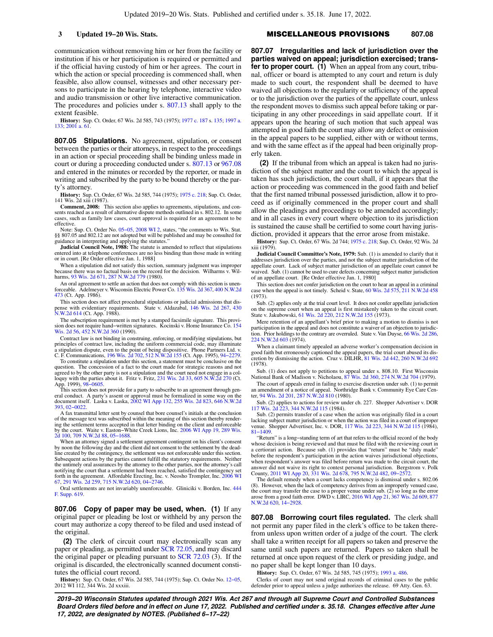communication without removing him or her from the facility or institution if his or her participation is required or permitted and if the official having custody of him or her agrees. The court in which the action or special proceeding is commenced shall, when feasible, also allow counsel, witnesses and other necessary persons to participate in the hearing by telephone, interactive video and audio transmission or other live interactive communication. The procedures and policies under s. [807.13](https://docs.legis.wisconsin.gov/document/statutes/807.13) shall apply to the extent feasible.

**History:** Sup. Ct. Order, 67 Wis. 2d 585, 743 (1975); [1977 c. 187](https://docs.legis.wisconsin.gov/document/acts/1977/187) s. [135](https://docs.legis.wisconsin.gov/document/acts/1977/187,%20s.%20135); [1997 a.](https://docs.legis.wisconsin.gov/document/acts/1997/133) [133](https://docs.legis.wisconsin.gov/document/acts/1997/133); [2001 a. 61](https://docs.legis.wisconsin.gov/document/acts/2001/61).

**807.05 Stipulations.** No agreement, stipulation, or consent between the parties or their attorneys, in respect to the proceedings in an action or special proceeding shall be binding unless made in court or during a proceeding conducted under s. [807.13](https://docs.legis.wisconsin.gov/document/statutes/807.13) or [967.08](https://docs.legis.wisconsin.gov/document/statutes/967.08) and entered in the minutes or recorded by the reporter, or made in writing and subscribed by the party to be bound thereby or the party's attorney.

**History:** Sup. Ct. Order, 67 Wis. 2d 585, 744 (1975); [1975 c. 218](https://docs.legis.wisconsin.gov/document/acts/1975/218); Sup. Ct. Order, 141 Wis. 2d xiii (1987).

**Comment, 2008:** This section also applies to agreements, stipulations, and con-sents reached as a result of alternative dispute methods outlined in s. 802.12. In some cases, such as family law cases, court approval is required for an agreement to be effective.

Note: Sup. Ct. Order No. 05–05, [2008 WI 2,](https://docs.legis.wisconsin.gov/document/courts/2008%20WI%202) states, "the comments to Wis. Stat. §§ 807.05 and 802.12 are not adopted but will be published and may be consulted for guidance in interpreting and applying the statutes."

**Judicial Council Note, 1988:** The statute is amended to reflect that stipulations entered into at telephone conferences are no less binding than those made in writing or in court. [Re Order effective Jan. 1, 1988]

When a stipulation did not satisfy this section, summary judgment was improper because there was no factual basis on the record for the decision. Wilharms v. Wilharms, [93 Wis. 2d 671,](https://docs.legis.wisconsin.gov/document/courts/93%20Wis.%202d%20671) [287 N.W.2d 779](https://docs.legis.wisconsin.gov/document/courts/287%20N.W.2d%20779) (1980).

An oral agreement to settle an action that does not comply with this section is unen-<br>forceable. Adelmeyer v. Wisconsin Electric Power Co. [135 Wis. 2d 367,](https://docs.legis.wisconsin.gov/document/courts/135%20Wis.%202d%20367) [400 N.W.2d](https://docs.legis.wisconsin.gov/document/courts/400%20N.W.2d%20473) [473](https://docs.legis.wisconsin.gov/document/courts/400%20N.W.2d%20473) (Ct. App. 1986).

This section does not affect procedural stipulations or judicial admissions that dis-pense with evidentiary requirements. State v. Aldazabal, [146 Wis. 2d 267](https://docs.legis.wisconsin.gov/document/courts/146%20Wis.%202d%20267), [430](https://docs.legis.wisconsin.gov/document/courts/430%20N.W.2d%20614) [N.W.2d 614](https://docs.legis.wisconsin.gov/document/courts/430%20N.W.2d%20614) (Ct. App. 1988).

The subscription requirement is met by a stamped facsimile signature. This provi-sion does not require hand−written signatures. Kocinski v. Home Insurance Co. [154](https://docs.legis.wisconsin.gov/document/courts/154%20Wis.%202d%2056) [Wis. 2d 56](https://docs.legis.wisconsin.gov/document/courts/154%20Wis.%202d%2056), [452 N.W.2d 360](https://docs.legis.wisconsin.gov/document/courts/452%20N.W.2d%20360) (1990).

Contract law is not binding in construing, enforcing, or modifying stipulations, but principles of contract law, including the uniform commercial code, may illuminate a stipulation dispute, even to the point of being dispositive. Phone Partners Ltd. v. C. F. Communications, [196 Wis. 2d 702](https://docs.legis.wisconsin.gov/document/courts/196%20Wis.%202d%20702), [512 N.W.2d 155](https://docs.legis.wisconsin.gov/document/courts/512%20N.W.2d%20155) (Ct. App. 1995), [94−2279](https://docs.legis.wisconsin.gov/document/wicourtofappeals/94-2279).

To constitute a stipulation under this section, a statement must be conclusive on the question. The concession of a fact to the court made for strategic reasons and not agreed to by the other party is not a stipulation and the court need not engage in a col-loquy with the parties about it. Fritz v. Fritz, [231 Wis. 2d 33,](https://docs.legis.wisconsin.gov/document/courts/231%20Wis.%202d%2033) [605 N.W.2d 270](https://docs.legis.wisconsin.gov/document/courts/605%20N.W.2d%20270) (Ct. App. 1999), 98–0605.

This section does not provide for a party to subscribe to an agreement through general conduct. A party's assent or approval must be formalized in some way on the document itself. Laska v. Laska, [2002 WI App 132,](https://docs.legis.wisconsin.gov/document/courts/2002%20WI%20App%20132) [255 Wis. 2d 823,](https://docs.legis.wisconsin.gov/document/courts/255%20Wis.%202d%20823) [646 N.W.2d](https://docs.legis.wisconsin.gov/document/courts/646%20N.W.2d%20393) [393](https://docs.legis.wisconsin.gov/document/courts/646%20N.W.2d%20393), [02−0022](https://docs.legis.wisconsin.gov/document/wicourtofappeals/02-0022).

A fax transmittal letter sent by counsel that bore counsel's initials at the conclusion of the message text was subscribed within the meaning of this section thereby rendering the settlement terms accepted in that letter binding on the client and enforceable by the court. Waite v. Easton−White Creek Lions, Inc. [2006 WI App 19](https://docs.legis.wisconsin.gov/document/courts/2006%20WI%20App%2019), [289 Wis.](https://docs.legis.wisconsin.gov/document/courts/289%20Wis.%202d%20100) [2d 100](https://docs.legis.wisconsin.gov/document/courts/289%20Wis.%202d%20100), [709 N.W.2d 88](https://docs.legis.wisconsin.gov/document/courts/709%20N.W.2d%2088), [05−1688](https://docs.legis.wisconsin.gov/document/wicourtofappeals/05-1688).

When an attorney signed a settlement agreement contingent on his client's consent by noon the following day and the client did not consent to the settlement by the deadline created by the contingency, the settlement was not enforceable under this section. Subsequent actions by the parties cannot fulfill the statutory requirements. Neither the untimely oral assurances by the attorney to the other parties, nor the attorney's call notifying the court that a settlement had been reached, satisfied the contingency set<br>forth in the agreement. Affordable Erecting, Inc. v. Neosho Trompler, Inc. [2006 WI](https://docs.legis.wisconsin.gov/document/courts/2006%20WI%2067)<br>[67,](https://docs.legis.wisconsin.gov/document/courts/2006%20WI%2067) [291 Wis. 2d 259](https://docs.legis.wisconsin.gov/document/courts/291%20Wis.%202d%20259), [715 N.W.2d 620](https://docs.legis.wisconsin.gov/document/courts/715%20N.W.2d%20620), [04−2746](https://docs.legis.wisconsin.gov/document/wisupremecourt/04-2746).

Oral settlements are not invariably unenforceable. Gliniciki v. Borden, Inc. [444](https://docs.legis.wisconsin.gov/document/courts/444%20F.%20Supp.%20619) [F. Supp. 619](https://docs.legis.wisconsin.gov/document/courts/444%20F.%20Supp.%20619).

**807.06 Copy of paper may be used, when. (1)** If any original paper or pleading be lost or withheld by any person the court may authorize a copy thereof to be filed and used instead of the original.

**(2)** The clerk of circuit court may electronically scan any paper or pleading, as permitted under [SCR 72.05,](https://docs.legis.wisconsin.gov/document/scr/72.05) and may discard the original paper or pleading pursuant to [SCR 72.03](https://docs.legis.wisconsin.gov/document/scr/72.03) (3). If the original is discarded, the electronically scanned document constitutes the official court record.

**History:** Sup. Ct. Order, 67 Wis. 2d 585, 744 (1975); Sup. Ct. Order No. [12−05](https://docs.legis.wisconsin.gov/document/sco/12-05), 2012 WI 112, 344 Wis. 2d xxxiii.

## **3 Updated 19−20 Wis. Stats.** MISCELLANEOUS PROVISIONS **807.08**

**807.07 Irregularities and lack of jurisdiction over the parties waived on appeal; jurisdiction exercised; transfer to proper court. (1)** When an appeal from any court, tribunal, officer or board is attempted to any court and return is duly made to such court, the respondent shall be deemed to have waived all objections to the regularity or sufficiency of the appeal or to the jurisdiction over the parties of the appellate court, unless the respondent moves to dismiss such appeal before taking or participating in any other proceedings in said appellate court. If it appears upon the hearing of such motion that such appeal was attempted in good faith the court may allow any defect or omission in the appeal papers to be supplied, either with or without terms, and with the same effect as if the appeal had been originally properly taken.

**(2)** If the tribunal from which an appeal is taken had no jurisdiction of the subject matter and the court to which the appeal is taken has such jurisdiction, the court shall, if it appears that the action or proceeding was commenced in the good faith and belief that the first named tribunal possessed jurisdiction, allow it to proceed as if originally commenced in the proper court and shall allow the pleadings and proceedings to be amended accordingly; and in all cases in every court where objection to its jurisdiction is sustained the cause shall be certified to some court having jurisdiction, provided it appears that the error arose from mistake.

**History:** Sup. Ct. Order, 67 Wis. 2d 744; [1975 c. 218;](https://docs.legis.wisconsin.gov/document/acts/1975/218) Sup. Ct. Order, 92 Wis. 2d xiii (1979).

**Judicial Council Committee's Note, 1979:** Sub. (1) is amended to clarify that it addresses jurisdiction over the parties, and not the subject matter jurisdiction of the appellate court. Lack of subject matter jurisdiction of an appellate court cannot be waived. Sub. (1) cannot be used to cure defects concerning subject matter jurisdiction of an appellate court. [Re Order effective Jan. 1, 1980]

This section does not confer jurisdiction on the court to hear an appeal in a criminal ase when the appeal is not timely. Scheid v. State, [60 Wis. 2d 575,](https://docs.legis.wisconsin.gov/document/courts/60%20Wis.%202d%20575) [211 N.W.2d 458](https://docs.legis.wisconsin.gov/document/courts/211%20N.W.2d%20458) (1973).

Sub. (2) applies only at the trial court level. It does not confer appellate jurisdiction on the supreme court when an appeal is first mistakenly taken to the circuit court.<br>State v. Jakubowski, [61 Wis. 2d 220](https://docs.legis.wisconsin.gov/document/courts/61%20Wis.%202d%20220), [212 N.W.2d 155](https://docs.legis.wisconsin.gov/document/courts/212%20N.W.2d%20155) (1973).

Mere retention of an appellant's brief prior to making a motion to dismiss is not participation in the appeal and does not constitute a waiver of an objection to jurisdiction. Prior holdings to the contrary are overruled. State v. Van Duyse, [66 Wis. 2d 286](https://docs.legis.wisconsin.gov/document/courts/66%20Wis.%202d%20286), [224 N.W.2d 603](https://docs.legis.wisconsin.gov/document/courts/224%20N.W.2d%20603) (1974).

When a claimant timely appealed an adverse worker's compensation decision in good faith but erroneously captioned the appeal papers, the trial court abused its discretion by dismissing the action. Cruz v. DILHR, [81 Wis. 2d 442,](https://docs.legis.wisconsin.gov/document/courts/81%20Wis.%202d%20442) [260 N.W.2d 692](https://docs.legis.wisconsin.gov/document/courts/260%20N.W.2d%20692) (1978).

Sub. (1) does not apply to petitions to appeal under s. 808.10. First Wisconsin National Bank of Madison v. Nicholaou, [87 Wis. 2d 360](https://docs.legis.wisconsin.gov/document/courts/87%20Wis.%202d%20360), [274 N.W.2d 704](https://docs.legis.wisconsin.gov/document/courts/274%20N.W.2d%20704) (1979).

The court of appeals erred in failing to exercise discretion under sub. (1) to permit an amendment of a notice of appeal. Northridge Bank v. Community Eye Care Center, [94 Wis. 2d 201](https://docs.legis.wisconsin.gov/document/courts/94%20Wis.%202d%20201), [287 N.W.2d 810](https://docs.legis.wisconsin.gov/document/courts/287%20N.W.2d%20810) (1980).

Sub. (2) applies to actions for review under ch. 227. Shopper Advertiser v. DOR [117 Wis. 2d 223,](https://docs.legis.wisconsin.gov/document/courts/117%20Wis.%202d%20223) [344 N.W.2d 115](https://docs.legis.wisconsin.gov/document/courts/344%20N.W.2d%20115) (1984).

Sub. (2) permits transfer of a case when the action was originally filed in a court lacking subject matter jurisdiction or when the action was filed in a court of improper venue. Shopper Advertiser, Inc. v. DOR, [117 Wis. 2d 223](https://docs.legis.wisconsin.gov/document/courts/117%20Wis.%202d%20223), [344 N.W.2d 115](https://docs.legis.wisconsin.gov/document/courts/344%20N.W.2d%20115) (1984), [81−1409.](https://docs.legis.wisconsin.gov/document/wisupremecourt/81-1409)

"Return" is a long−standing term of art that refers to the official record of the body whose decision is being reviewed and that must be filed with the reviewing court in a certiorari action. Because sub. (1) provides that "return" must be "duly made" before the respondent's participation in the action waives jurisdictional objections, when respondent's answer was filed before return was made to the circuit court, the answer did not waive its right to contest personal jurisdiction. Bergstrom v. Polk County, [2011 WI App 20,](https://docs.legis.wisconsin.gov/document/courts/2011%20WI%20App%2020) [331 Wis. 2d 678](https://docs.legis.wisconsin.gov/document/courts/331%20Wis.%202d%20678), [795 N.W.2d 482](https://docs.legis.wisconsin.gov/document/courts/795%20N.W.2d%20482), [09−2572](https://docs.legis.wisconsin.gov/document/wicourtofappeals/09-2572).

The default remedy when a court lacks competency is dismissal under s. 802.06 (8). However, when the lack of competency derives from an improperly venued case, the court may transfer the case to a proper venue under sub. (2) so long as the error arose from a good faith error. DWD v. LIRC, [2016 WI App 21](https://docs.legis.wisconsin.gov/document/courts/2016%20WI%20App%2021), [367 Wis. 2d 609,](https://docs.legis.wisconsin.gov/document/courts/367%20Wis.%202d%20609) [877](https://docs.legis.wisconsin.gov/document/courts/877%20N.W.2d%20620) [N.W.2d 620,](https://docs.legis.wisconsin.gov/document/courts/877%20N.W.2d%20620) [14−2928.](https://docs.legis.wisconsin.gov/document/wicourtofappeals/14-2928)

**807.08 Borrowing court files regulated.** The clerk shall not permit any paper filed in the clerk's office to be taken therefrom unless upon written order of a judge of the court. The clerk shall take a written receipt for all papers so taken and preserve the same until such papers are returned. Papers so taken shall be returned at once upon request of the clerk or presiding judge, and no paper shall be kept longer than 10 days.

**History:** Sup. Ct. Order, 67 Wis. 2d 585, 745 (1975); [1993 a. 486](https://docs.legis.wisconsin.gov/document/acts/1993/486).

Clerks of court may not send original records of criminal cases to the public defender prior to appeal unless a judge authorizes the release. 69 Atty. Gen. 63.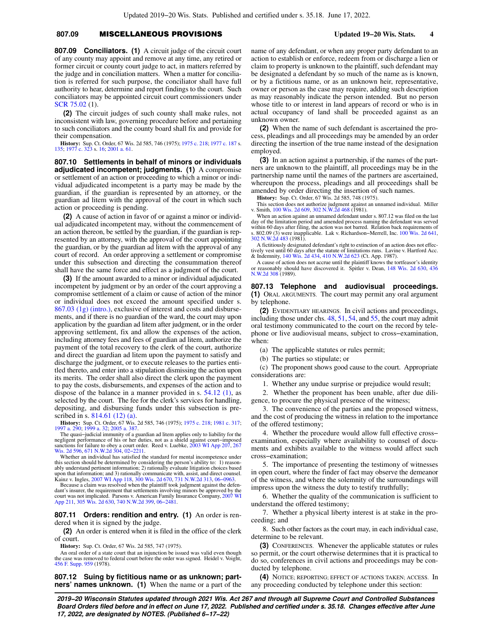## **807.09** MISCELLANEOUS PROVISIONS **Updated 19−20 Wis. Stats. 4**

**807.09 Conciliators. (1)** A circuit judge of the circuit court of any county may appoint and remove at any time, any retired or former circuit or county court judge to act, in matters referred by the judge and in conciliation matters. When a matter for conciliation is referred for such purpose, the conciliator shall have full authority to hear, determine and report findings to the court. Such conciliators may be appointed circuit court commissioners under [SCR 75.02](https://docs.legis.wisconsin.gov/document/scr/75.02) (1).

**(2)** The circuit judges of such county shall make rules, not inconsistent with law, governing procedure before and pertaining to such conciliators and the county board shall fix and provide for their compensation.

**History:** Sup. Ct. Order, 67 Wis. 2d 585, 746 (1975); [1975 c. 218](https://docs.legis.wisconsin.gov/document/acts/1975/218); [1977 c. 187](https://docs.legis.wisconsin.gov/document/acts/1977/187) s. [135](https://docs.legis.wisconsin.gov/document/acts/1977/187,%20s.%20135); [1977 c. 323](https://docs.legis.wisconsin.gov/document/acts/1977/323) s. [16;](https://docs.legis.wisconsin.gov/document/acts/1977/323,%20s.%2016) [2001 a. 61](https://docs.legis.wisconsin.gov/document/acts/2001/61).

**807.10 Settlements in behalf of minors or individuals adjudicated incompetent; judgments. (1)** A compromise or settlement of an action or proceeding to which a minor or individual adjudicated incompetent is a party may be made by the guardian, if the guardian is represented by an attorney, or the guardian ad litem with the approval of the court in which such action or proceeding is pending.

**(2)** A cause of action in favor of or against a minor or individual adjudicated incompetent may, without the commencement of an action thereon, be settled by the guardian, if the guardian is represented by an attorney, with the approval of the court appointing the guardian, or by the guardian ad litem with the approval of any court of record. An order approving a settlement or compromise under this subsection and directing the consummation thereof shall have the same force and effect as a judgment of the court.

**(3)** If the amount awarded to a minor or individual adjudicated incompetent by judgment or by an order of the court approving a compromise settlement of a claim or cause of action of the minor or individual does not exceed the amount specified under s. [867.03 \(1g\) \(intro.\)](https://docs.legis.wisconsin.gov/document/statutes/867.03(1g)(intro.)), exclusive of interest and costs and disbursements, and if there is no guardian of the ward, the court may upon application by the guardian ad litem after judgment, or in the order approving settlement, fix and allow the expenses of the action, including attorney fees and fees of guardian ad litem, authorize the payment of the total recovery to the clerk of the court, authorize and direct the guardian ad litem upon the payment to satisfy and discharge the judgment, or to execute releases to the parties entitled thereto, and enter into a stipulation dismissing the action upon its merits. The order shall also direct the clerk upon the payment to pay the costs, disbursements, and expenses of the action and to dispose of the balance in a manner provided in s. [54.12 \(1\)](https://docs.legis.wisconsin.gov/document/statutes/54.12(1)), as selected by the court. The fee for the clerk's services for handling, depositing, and disbursing funds under this subsection is prescribed in s. [814.61 \(12\) \(a\)](https://docs.legis.wisconsin.gov/document/statutes/814.61(12)(a)).

**History:** Sup. Ct. Order, 67 Wis. 2d 585, 746 (1975); [1975 c. 218](https://docs.legis.wisconsin.gov/document/acts/1975/218); [1981 c. 317](https://docs.legis.wisconsin.gov/document/acts/1981/317); [1997 a. 290;](https://docs.legis.wisconsin.gov/document/acts/1997/290) [1999 a. 32;](https://docs.legis.wisconsin.gov/document/acts/1999/32) [2005 a. 387.](https://docs.legis.wisconsin.gov/document/acts/2005/387)

The quasi−judicial immunity of a guardian ad litem applies only to liability for the negligent performance of his or her duties, not as a shield against court−imposed sanctions for failure to obey a court order. Reed v. Luebke, [2003 WI App 207](https://docs.legis.wisconsin.gov/document/courts/2003%20WI%20App%20207), [267](https://docs.legis.wisconsin.gov/document/courts/267%20Wis.%202d%20596) [Wis. 2d 596,](https://docs.legis.wisconsin.gov/document/courts/267%20Wis.%202d%20596) [671 N.W.2d 304](https://docs.legis.wisconsin.gov/document/courts/671%20N.W.2d%20304), [02−2211](https://docs.legis.wisconsin.gov/document/wicourtofappeals/02-2211).

Whether an individual has satisfied the standard for mental incompetence under this section should be determined by considering the person's ability to: 1) reason-<br>ably understand pertinent information; 2) rationally evaluate litigation choices based<br>upon that information; and 3) rationally communica

Kainz v. Ingles, [2007 WI App 118](https://docs.legis.wisconsin.gov/document/courts/2007%20WI%20App%20118), [300 Wis. 2d 670,](https://docs.legis.wisconsin.gov/document/courts/300%20Wis.%202d%20670) [731 N.W.2d 313](https://docs.legis.wisconsin.gov/document/courts/731%20N.W.2d%20313), 06–0963.<br>Because a claim was resolved when the plaintiff took judgment against the defen-<br>dant's insurer, the requirement that settlements involving minors court was not implicated. Parsons v. American Family Insurance Company, [2007 WI](https://docs.legis.wisconsin.gov/document/courts/2007%20WI%20App%20211) [App 211,](https://docs.legis.wisconsin.gov/document/courts/2007%20WI%20App%20211) [305 Wis. 2d 630](https://docs.legis.wisconsin.gov/document/courts/305%20Wis.%202d%20630), [740 N.W.2d 399](https://docs.legis.wisconsin.gov/document/courts/740%20N.W.2d%20399), [06−2481](https://docs.legis.wisconsin.gov/document/wicourtofappeals/06-2481).

**807.11 Orders: rendition and entry. (1)** An order is rendered when it is signed by the judge.

**(2)** An order is entered when it is filed in the office of the clerk of court.

**History:** Sup. Ct. Order, 67 Wis. 2d 585, 747 (1975).

An oral order of a state court that an injunction be issued was valid even though the case was removed to federal court before the order was signed. Heidel v. Voight, [456 F. Supp. 959](https://docs.legis.wisconsin.gov/document/courts/456%20F.%20Supp.%20959) (1978).

**807.12 Suing by fictitious name or as unknown; partners' names unknown. (1)** When the name or a part of the name of any defendant, or when any proper party defendant to an action to establish or enforce, redeem from or discharge a lien or claim to property is unknown to the plaintiff, such defendant may be designated a defendant by so much of the name as is known, or by a fictitious name, or as an unknown heir, representative, owner or person as the case may require, adding such description as may reasonably indicate the person intended. But no person whose title to or interest in land appears of record or who is in actual occupancy of land shall be proceeded against as an unknown owner.

**(2)** When the name of such defendant is ascertained the process, pleadings and all proceedings may be amended by an order directing the insertion of the true name instead of the designation employed.

**(3)** In an action against a partnership, if the names of the partners are unknown to the plaintiff, all proceedings may be in the partnership name until the names of the partners are ascertained, whereupon the process, pleadings and all proceedings shall be amended by order directing the insertion of such names.

**History:** Sup. Ct. Order, 67 Wis. 2d 585, 748 (1975).

This section does not authorize judgment against an unnamed individual. Miller v. Smith, [100 Wis. 2d 609,](https://docs.legis.wisconsin.gov/document/courts/100%20Wis.%202d%20609) [302 N.W.2d 468](https://docs.legis.wisconsin.gov/document/courts/302%20N.W.2d%20468) (1981).

When an action against an unnamed defendant under s. 807.12 was filed on the last day of the limitation period and amended process naming the defendant was served within 60 days after filing, the action was not barred. Relation back requirements of s. 802.09 (3) were inapplicable. Lak v. Richardson−Merrell, Inc. [100 Wis. 2d 641](https://docs.legis.wisconsin.gov/document/courts/100%20Wis.%202d%20641), [302 N.W.2d 483](https://docs.legis.wisconsin.gov/document/courts/302%20N.W.2d%20483) (1981).

A fictitiously designated defendant's right to extinction of an action does not effectively vest until 60 days after the statute of limitations runs. Lavine v. Hartford Acc. & Indemnity, [140 Wis. 2d 434](https://docs.legis.wisconsin.gov/document/courts/140%20Wis.%202d%20434), [410 N.W.2d 623](https://docs.legis.wisconsin.gov/document/courts/410%20N.W.2d%20623) (Ct. App. 1987).

A cause of action does not accrue until the plaintiff knows the tortfeasor's identity or reasonably should have discovered it. Spitler v. Dean, [148 Wis. 2d 630](https://docs.legis.wisconsin.gov/document/courts/148%20Wis.%202d%20630), [436](https://docs.legis.wisconsin.gov/document/courts/436%20N.W.2d%20308) [N.W.2d 308](https://docs.legis.wisconsin.gov/document/courts/436%20N.W.2d%20308) (1989).

**807.13 Telephone and audiovisual proceedings. (1)** ORAL ARGUMENTS. The court may permit any oral argument by telephone.

**(2)** EVIDENTIARY HEARINGS. In civil actions and proceedings, including those under chs. [48,](https://docs.legis.wisconsin.gov/document/statutes/ch.%2048) [51,](https://docs.legis.wisconsin.gov/document/statutes/ch.%2051) [54,](https://docs.legis.wisconsin.gov/document/statutes/ch.%2054) and [55,](https://docs.legis.wisconsin.gov/document/statutes/ch.%2055) the court may admit oral testimony communicated to the court on the record by telephone or live audiovisual means, subject to cross−examination, when:

(a) The applicable statutes or rules permit;

(b) The parties so stipulate; or

(c) The proponent shows good cause to the court. Appropriate considerations are:

1. Whether any undue surprise or prejudice would result;

2. Whether the proponent has been unable, after due diligence, to procure the physical presence of the witness;

3. The convenience of the parties and the proposed witness, and the cost of producing the witness in relation to the importance of the offered testimony;

4. Whether the procedure would allow full effective cross− examination, especially where availability to counsel of documents and exhibits available to the witness would affect such cross−examination;

5. The importance of presenting the testimony of witnesses in open court, where the finder of fact may observe the demeanor of the witness, and where the solemnity of the surroundings will impress upon the witness the duty to testify truthfully;

6. Whether the quality of the communication is sufficient to understand the offered testimony;

7. Whether a physical liberty interest is at stake in the proceeding; and

8. Such other factors as the court may, in each individual case, determine to be relevant.

**(3)** CONFERENCES. Whenever the applicable statutes or rules so permit, or the court otherwise determines that it is practical to do so, conferences in civil actions and proceedings may be conducted by telephone.

**(4)** NOTICE; REPORTING; EFFECT OF ACTIONS TAKEN; ACCESS. In any proceeding conducted by telephone under this section: